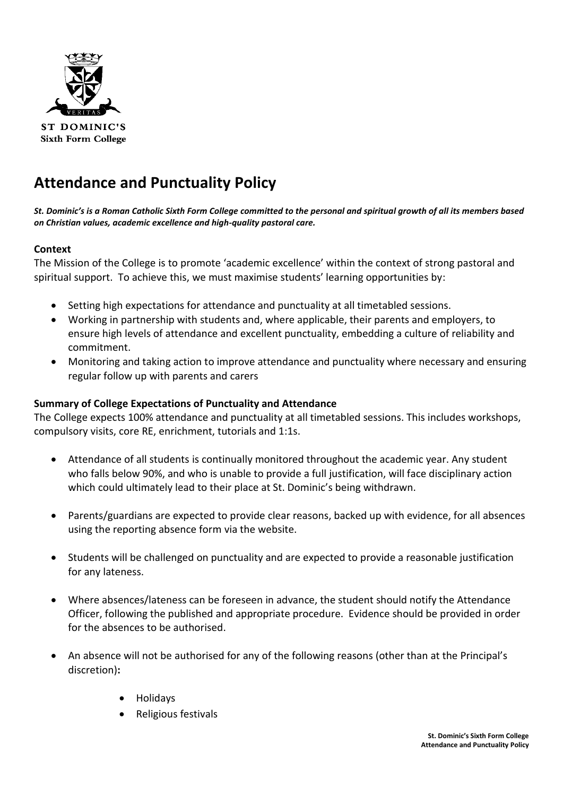

**ST DOMINIC'S Sixth Form College** 

# **Attendance and Punctuality Policy**

*St. Dominic's is a Roman Catholic Sixth Form College committed to the personal and spiritual growth of all its members based on Christian values, academic excellence and high-quality pastoral care.*

# **Context**

The Mission of the College is to promote 'academic excellence' within the context of strong pastoral and spiritual support. To achieve this, we must maximise students' learning opportunities by:

- Setting high expectations for attendance and punctuality at all timetabled sessions.
- Working in partnership with students and, where applicable, their parents and employers, to ensure high levels of attendance and excellent punctuality, embedding a culture of reliability and commitment.
- Monitoring and taking action to improve attendance and punctuality where necessary and ensuring regular follow up with parents and carers

# **Summary of College Expectations of Punctuality and Attendance**

The College expects 100% attendance and punctuality at all timetabled sessions. This includes workshops, compulsory visits, core RE, enrichment, tutorials and 1:1s.

- Attendance of all students is continually monitored throughout the academic year. Any student who falls below 90%, and who is unable to provide a full justification, will face disciplinary action which could ultimately lead to their place at St. Dominic's being withdrawn.
- Parents/guardians are expected to provide clear reasons, backed up with evidence, for all absences using the reporting absence form via the website.
- Students will be challenged on punctuality and are expected to provide a reasonable justification for any lateness.
- Where absences/lateness can be foreseen in advance, the student should notify the Attendance Officer, following the published and appropriate procedure. Evidence should be provided in order for the absences to be authorised.
- An absence will not be authorised for any of the following reasons (other than at the Principal's discretion)**:**
	- Holidays
	- Religious festivals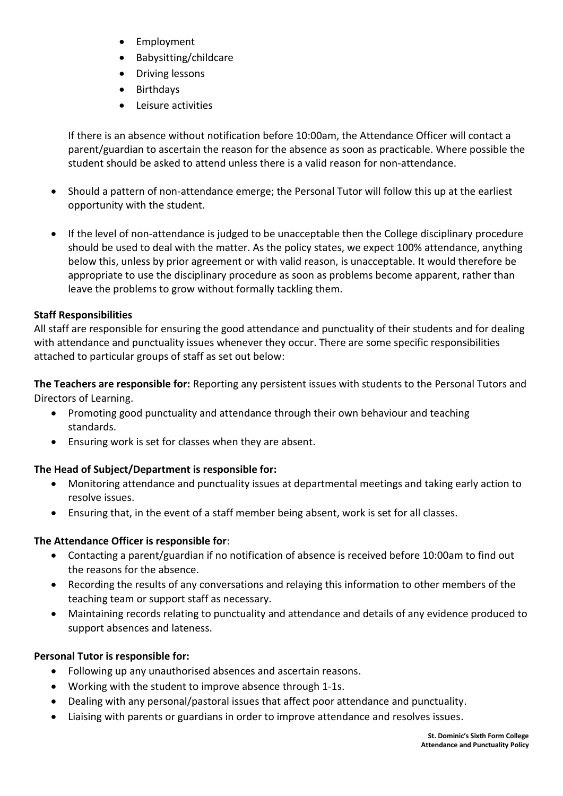- Employment
- Babysitting/childcare
- Driving lessons
- Birthdays
- Leisure activities

If there is an absence without notification before 10:00am, the Attendance Officer will contact a parent/guardian to ascertain the reason for the absence as soon as practicable. Where possible the student should be asked to attend unless there is a valid reason for non-attendance.

- Should a pattern of non-attendance emerge; the Personal Tutor will follow this up at the earliest opportunity with the student.
- If the level of non-attendance is judged to be unacceptable then the College disciplinary procedure should be used to deal with the matter. As the policy states, we expect 100% attendance, anything below this, unless by prior agreement or with valid reason, is unacceptable. It would therefore be appropriate to use the disciplinary procedure as soon as problems become apparent, rather than leave the problems to grow without formally tackling them.

# **Staff Responsibilities**

All staff are responsible for ensuring the good attendance and punctuality of their students and for dealing with attendance and punctuality issues whenever they occur. There are some specific responsibilities attached to particular groups of staff as set out below:

**The Teachers are responsible for:** Reporting any persistent issues with students to the Personal Tutors and Directors of Learning.

- Promoting good punctuality and attendance through their own behaviour and teaching standards.
- Ensuring work is set for classes when they are absent.

# **The Head of Subject/Department is responsible for:**

- Monitoring attendance and punctuality issues at departmental meetings and taking early action to resolve issues.
- Ensuring that, in the event of a staff member being absent, work is set for all classes.

## **The Attendance Officer is responsible for**:

- Contacting a parent/guardian if no notification of absence is received before 10:00am to find out the reasons for the absence.
- Recording the results of any conversations and relaying this information to other members of the teaching team or support staff as necessary.
- Maintaining records relating to punctuality and attendance and details of any evidence produced to support absences and lateness.

## **Personal Tutor is responsible for:**

- Following up any unauthorised absences and ascertain reasons.
- Working with the student to improve absence through 1-1s.
- Dealing with any personal/pastoral issues that affect poor attendance and punctuality.
- Liaising with parents or guardians in order to improve attendance and resolves issues.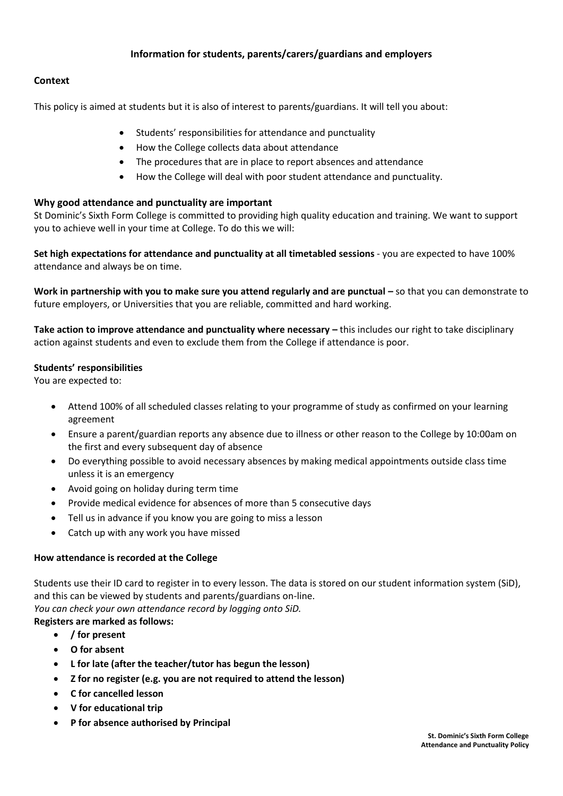#### **Information for students, parents/carers/guardians and employers**

## **Context**

This policy is aimed at students but it is also of interest to parents/guardians. It will tell you about:

- Students' responsibilities for attendance and punctuality
- How the College collects data about attendance
- The procedures that are in place to report absences and attendance
- How the College will deal with poor student attendance and punctuality.

#### **Why good attendance and punctuality are important**

St Dominic's Sixth Form College is committed to providing high quality education and training. We want to support you to achieve well in your time at College. To do this we will:

**Set high expectations for attendance and punctuality at all timetabled sessions** - you are expected to have 100% attendance and always be on time.

**Work in partnership with you to make sure you attend regularly and are punctual –** so that you can demonstrate to future employers, or Universities that you are reliable, committed and hard working.

Take action to improve attendance and punctuality where necessary – this includes our right to take disciplinary action against students and even to exclude them from the College if attendance is poor.

#### **Students' responsibilities**

You are expected to:

- Attend 100% of all scheduled classes relating to your programme of study as confirmed on your learning agreement
- Ensure a parent/guardian reports any absence due to illness or other reason to the College by 10:00am on the first and every subsequent day of absence
- Do everything possible to avoid necessary absences by making medical appointments outside class time unless it is an emergency
- Avoid going on holiday during term time
- Provide medical evidence for absences of more than 5 consecutive days
- Tell us in advance if you know you are going to miss a lesson
- Catch up with any work you have missed

#### **How attendance is recorded at the College**

Students use their ID card to register in to every lesson. The data is stored on our student information system (SiD), and this can be viewed by students and parents/guardians on-line. *You can check your own attendance record by logging onto SiD.*

**Registers are marked as follows:** 

- **/ for present**
- **O for absent**
- **L for late (after the teacher/tutor has begun the lesson)**
- **Z for no register (e.g. you are not required to attend the lesson)**
- **C for cancelled lesson**
- **V for educational trip**
- **P for absence authorised by Principal**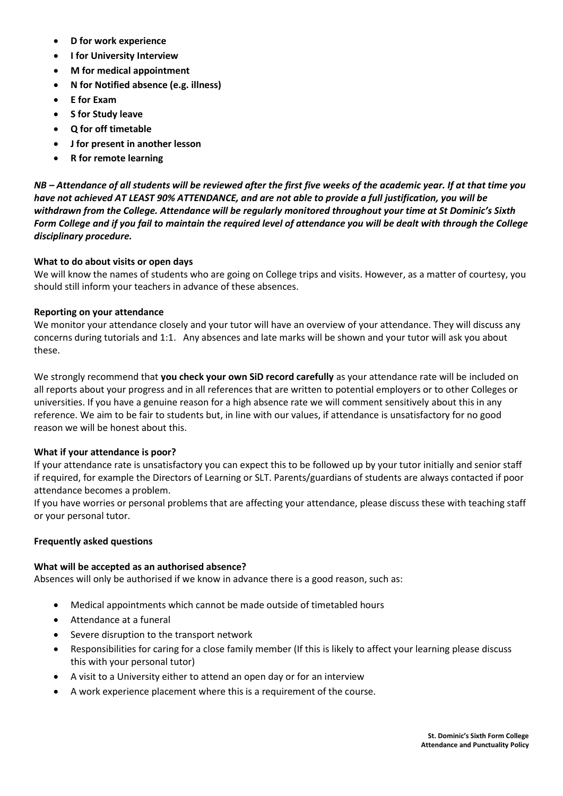- **D for work experience**
- **I for University Interview**
- **M for medical appointment**
- **N for Notified absence (e.g. illness)**
- **E for Exam**
- **S for Study leave**
- **Q for off timetable**
- **J for present in another lesson**
- **R for remote learning**

*NB – Attendance of all students will be reviewed after the first five weeks of the academic year. If at that time you have not achieved AT LEAST 90% ATTENDANCE, and are not able to provide a full justification, you will be withdrawn from the College. Attendance will be regularly monitored throughout your time at St Dominic's Sixth Form College and if you fail to maintain the required level of attendance you will be dealt with through the College disciplinary procedure.* 

#### **What to do about visits or open days**

We will know the names of students who are going on College trips and visits. However, as a matter of courtesy, you should still inform your teachers in advance of these absences.

#### **Reporting on your attendance**

We monitor your attendance closely and your tutor will have an overview of your attendance. They will discuss any concerns during tutorials and 1:1. Any absences and late marks will be shown and your tutor will ask you about these.

We strongly recommend that **you check your own SiD record carefully** as your attendance rate will be included on all reports about your progress and in all references that are written to potential employers or to other Colleges or universities. If you have a genuine reason for a high absence rate we will comment sensitively about this in any reference. We aim to be fair to students but, in line with our values, if attendance is unsatisfactory for no good reason we will be honest about this.

#### **What if your attendance is poor?**

If your attendance rate is unsatisfactory you can expect this to be followed up by your tutor initially and senior staff if required, for example the Directors of Learning or SLT. Parents/guardians of students are always contacted if poor attendance becomes a problem.

If you have worries or personal problems that are affecting your attendance, please discuss these with teaching staff or your personal tutor.

#### **Frequently asked questions**

#### **What will be accepted as an authorised absence?**

Absences will only be authorised if we know in advance there is a good reason, such as:

- Medical appointments which cannot be made outside of timetabled hours
- Attendance at a funeral
- Severe disruption to the transport network
- Responsibilities for caring for a close family member (If this is likely to affect your learning please discuss this with your personal tutor)
- A visit to a University either to attend an open day or for an interview
- A work experience placement where this is a requirement of the course.